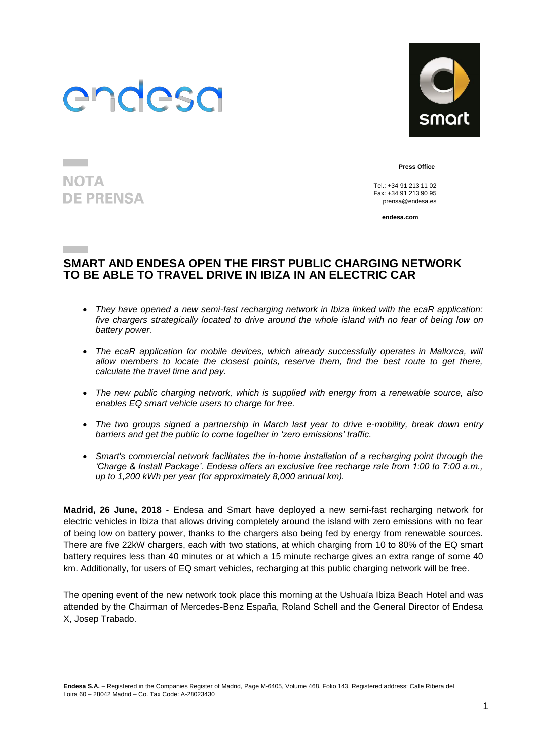

**NOTA** 

**DE PRENSA** 



**Press Office**

 $Tel: +34912131102$ Fax: +34 91 213 90 95 [prensa@endesa.es](mailto:prensa@endesa.es)

**endesa.com**

### **SMART AND ENDESA OPEN THE FIRST PUBLIC CHARGING NETWORK TO BE ABLE TO TRAVEL DRIVE IN IBIZA IN AN ELECTRIC CAR**

- *They have opened a new semi-fast recharging network in Ibiza linked with the ecaR application: five chargers strategically located to drive around the whole island with no fear of being low on battery power.*
- The ecaR application for mobile devices, which already successfully operates in Mallorca, will *allow members to locate the closest points, reserve them, find the best route to get there, calculate the travel time and pay.*
- *The new public charging network, which is supplied with energy from a renewable source, also enables EQ smart vehicle users to charge for free.*
- *The two groups signed a partnership in March last year to drive e-mobility, break down entry barriers and get the public to come together in 'zero emissions' traffic.*
- *Smart's commercial network facilitates the in-home installation of a recharging point through the 'Charge & Install Package'. Endesa offers an exclusive free recharge rate from 1:00 to 7:00 a.m., up to 1,200 kWh per year (for approximately 8,000 annual km).*

**Madrid, 26 June, 2018** - Endesa and Smart have deployed a new semi-fast recharging network for electric vehicles in Ibiza that allows driving completely around the island with zero emissions with no fear of being low on battery power, thanks to the chargers also being fed by energy from renewable sources. There are five 22kW chargers, each with two stations, at which charging from 10 to 80% of the EQ smart battery requires less than 40 minutes or at which a 15 minute recharge gives an extra range of some 40 km. Additionally, for users of EQ smart vehicles, recharging at this public charging network will be free.

The opening event of the new network took place this morning at the Ushuaïa Ibiza Beach Hotel and was attended by the Chairman of Mercedes-Benz España, Roland Schell and the General Director of Endesa X, Josep Trabado.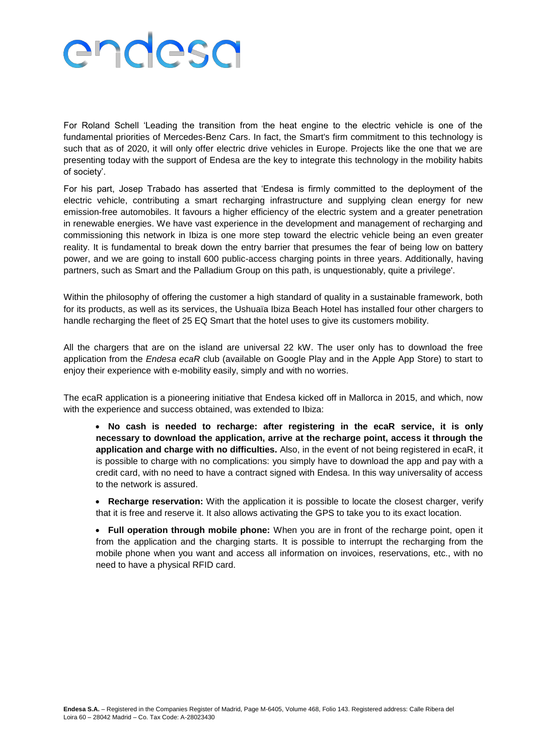# endesa

For Roland Schell 'Leading the transition from the heat engine to the electric vehicle is one of the fundamental priorities of Mercedes-Benz Cars. In fact, the Smart's firm commitment to this technology is such that as of 2020, it will only offer electric drive vehicles in Europe. Projects like the one that we are presenting today with the support of Endesa are the key to integrate this technology in the mobility habits of society'.

For his part, Josep Trabado has asserted that 'Endesa is firmly committed to the deployment of the electric vehicle, contributing a smart recharging infrastructure and supplying clean energy for new emission-free automobiles. It favours a higher efficiency of the electric system and a greater penetration in renewable energies. We have vast experience in the development and management of recharging and commissioning this network in Ibiza is one more step toward the electric vehicle being an even greater reality. It is fundamental to break down the entry barrier that presumes the fear of being low on battery power, and we are going to install 600 public-access charging points in three years. Additionally, having partners, such as Smart and the Palladium Group on this path, is unquestionably, quite a privilege'.

Within the philosophy of offering the customer a high standard of quality in a sustainable framework, both for its products, as well as its services, the Ushuaïa Ibiza Beach Hotel has installed four other chargers to handle recharging the fleet of 25 EQ Smart that the hotel uses to give its customers mobility.

All the chargers that are on the island are universal 22 kW. The user only has to download the free application from the *Endesa ecaR* club (available on Google Play and in the Apple App Store) to start to enjoy their experience with e-mobility easily, simply and with no worries.

The ecaR application is a pioneering initiative that Endesa kicked off in Mallorca in 2015, and which, now with the experience and success obtained, was extended to Ibiza:

 **No cash is needed to recharge: after registering in the ecaR service, it is only necessary to download the application, arrive at the recharge point, access it through the application and charge with no difficulties.** Also, in the event of not being registered in ecaR, it is possible to charge with no complications: you simply have to download the app and pay with a credit card, with no need to have a contract signed with Endesa. In this way universality of access to the network is assured.

 **Recharge reservation:** With the application it is possible to locate the closest charger, verify that it is free and reserve it. It also allows activating the GPS to take you to its exact location.

 **Full operation through mobile phone:** When you are in front of the recharge point, open it from the application and the charging starts. It is possible to interrupt the recharging from the mobile phone when you want and access all information on invoices, reservations, etc., with no need to have a physical RFID card.